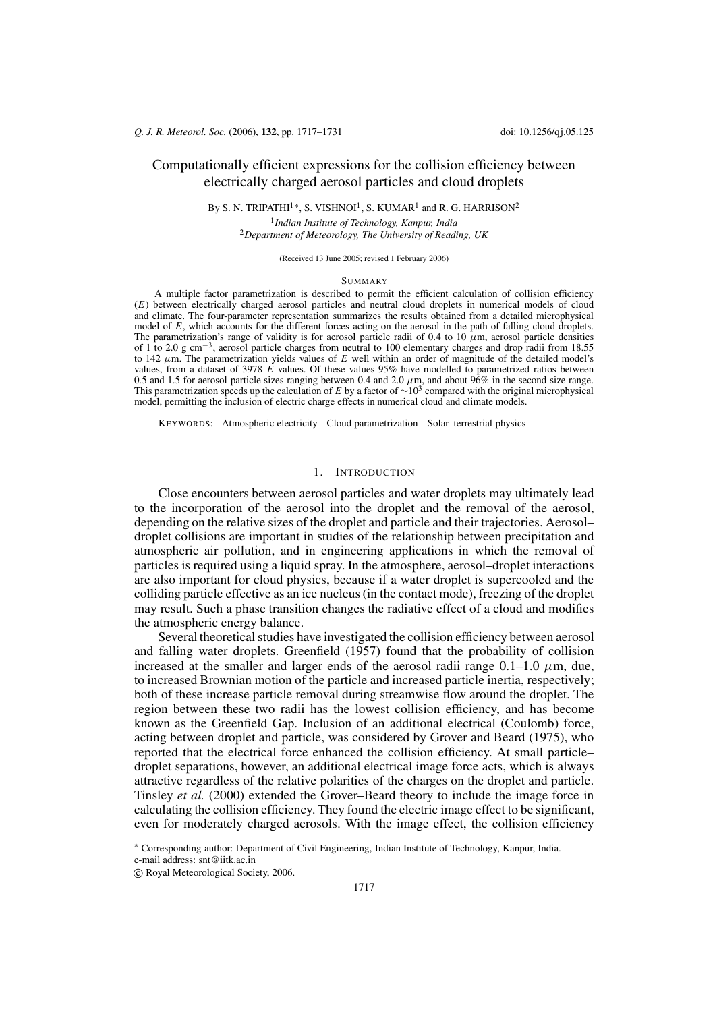# Computationally efficient expressions for the collision efficiency between electrically charged aerosol particles and cloud droplets

By S. N. TRIPATHI<sup>1\*</sup>, S. VISHNOI<sup>1</sup>, S. KUMAR<sup>1</sup> and R. G. HARRISON<sup>2</sup>

<sup>1</sup>Indian Institute of Technology, Kanpur, India <sup>2</sup>Department of Meteorology, The University of Reading, UK

(Received 13 June 2005; revised 1 February 2006)

### **SUMMARY**

A multiple factor parametrization is described to permit the efficient calculation of collision efficiency (E) between electrically charged aerosol particles and neutral cloud droplets in numerical models of cloud and climate. The four-parameter representation summarizes the results obtained from a detailed microphysical model of E, which accounts for the different forces acting on the aerosol in the path of falling cloud droplets. The parametrization's range of validity is for aerosol particle radii of 0.4 to 10  $\mu$ m, aerosol particle densities of 1 to 2.0 g cm<sup>-3</sup>, aerosol particle charges from neutral to 100 elementary charges and drop radii from 18.55 to 142  $\mu$ m. The parametrization yields values of E well within an order of magnitude of the detailed model' values, from a dataset of 3978  $\vec{E}$  values. Of these values 95% have modelled to parametrized ratios between 0.5 and 1.5 for aerosol particle sizes ranging between 0.4 and 2.0  $\mu$ m, and about 96% in the second size range. This parametrization speeds up the calculation of E by a factor of  $\sim 10^3$  compared with the original microphysical model, permitting the inclusion of electric charge effects in numerical cloud and climate models.

KEYWORDS: Atmospheric electricity Cloud parametrization Solar-terrestrial physics

## 1. INTRODUCTION

Close encounters between aerosol particles and water droplets may ultimately lead to the incorporation of the aerosol into the droplet and the removal of the aerosol, depending on the relative sizes of the droplet and particle and their trajectories. Aerosoldroplet collisions are important in studies of the relationship between precipitation and atmospheric air pollution, and in engineering applications in which the removal of particles is required using a liquid spray. In the atmosphere, aerosol–droplet interactions are also important for cloud physics, because if a water droplet is supercooled and the colliding particle effective as an ice nucleus (in the contact mode), freezing of the droplet may result. Such a phase transition changes the radiative effect of a cloud and modifies the atmospheric energy balance.

Several theoretical studies have investigated the collision efficiency between aerosol and falling water droplets. Greenfield (1957) found that the probability of collision increased at the smaller and larger ends of the aerosol radii range  $0.1-1.0 \mu m$ , due, to increased Brownian motion of the particle and increased particle inertia, respectively; both of these increase particle removal during streamwise flow around the droplet. The region between these two radii has the lowest collision efficiency, and has become known as the Greenfield Gap. Inclusion of an additional electrical (Coulomb) force, acting between droplet and particle, was considered by Grover and Beard (1975), who reported that the electrical force enhanced the collision efficiency. At small particledroplet separations, however, an additional electrical image force acts, which is always attractive regardless of the relative polarities of the charges on the droplet and particle. Tinsley et al. (2000) extended the Grover-Beard theory to include the image force in calculating the collision efficiency. They found the electric image effect to be significant, even for moderately charged aerosols. With the image effect, the collision efficiency

\* Corresponding author: Department of Civil Engineering, Indian Institute of Technology, Kanpur, India.

e-mail address: snt@iitk.ac.in

C Royal Meteorological Society, 2006.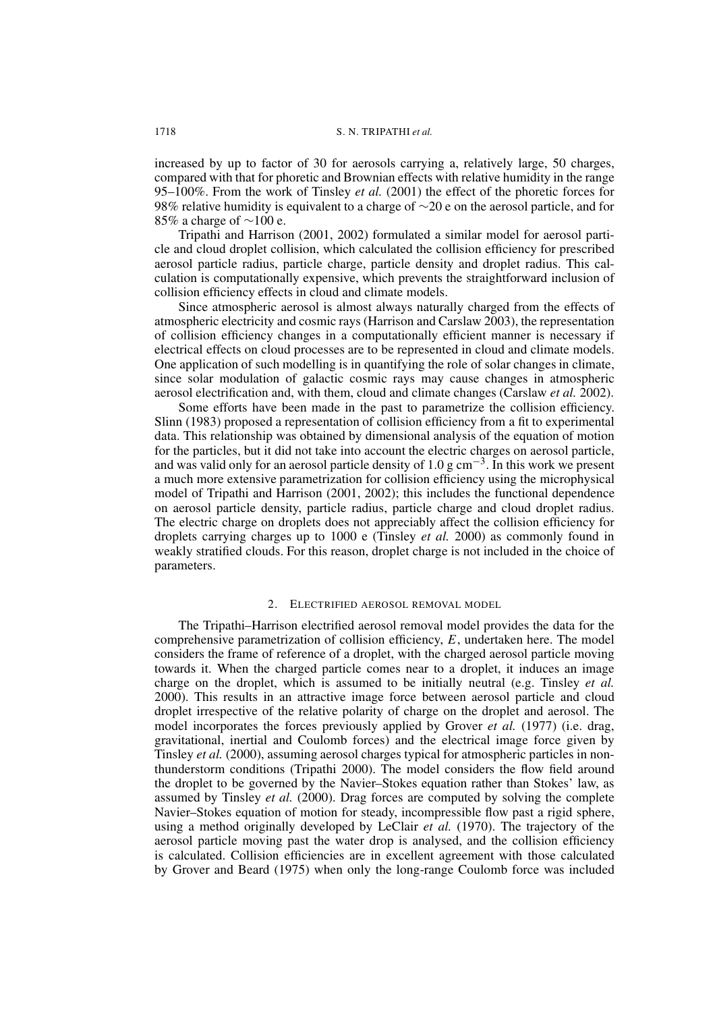increased by up to factor of 30 for aerosols carrying a, relatively large, 50 charges, compared with that for phoretic and Brownian effects with relative humidity in the range 95–100%. From the work of Tinsley *et al.* (2001) the effect of the phoretic forces for 98% relative humidity is equivalent to a charge of  $\sim$ 20 e on the aerosol particle, and for 85% a charge of  $\sim$ 100 e.

Tripathi and Harrison (2001, 2002) formulated a similar model for aerosol parti-<br>cle and cloud droplet collision, which calculated the collision efficiency for prescribed aerosol particle radius, particle charge, particle density and droplet radius. This calculation is computationally expensive, which prevents the straightforward inclusion of collision efficiency effects in cloud and climate models.

Since atmospheric aerosol is almost always naturally charged from the effects of atmospheric electricity and cosmic rays (Harrison and Carslaw  $2003$ ), the representation of collision efficiency changes in a computationally efficient manner is necessary if electrical effects on cloud processes are to be represented in cloud and climate models. One application of such modelling is in quantifying the role of solar changes in climate, since solar modulation of galactic cosmic rays may cause changes in atmospheric aerosol electrification and, with them, cloud and climate changes (Carslaw et al. 2002).

Some efforts have been made in the past to parametrize the collision efficiency. Slinn (1983) proposed a representation of collision efficiency from a fit to experimental data. This relationship was obtained by dimensional analysis of the equation of motion for the particles, but it did not take into account the electric charges on aerosol particle,<br>and was valid only for an aerosol particle density of 1.0 g cm<sup>-3</sup>. In this work we present a much more extensive parametrization for collision efficiency using the microphysical model of Tripathi and Harrison (2001, 2002); this includes the functional dependence on aerosol particle density, particle radius, particle charge and cloud droplet radius. The electric charge on droplets does not appreciably affect the collision efficiency for droplets carrying charges up to 1000 e (Tinsley *et al.* 2000) as commonly found in<br>weakly stratified clouds. For this reason, droplet charge is not included in the choice of parameters.

#### $2^{1}$ ELECTRIFIED AEROSOL REMOVAL MODEL

The Tripathi-Harrison electrified aerosol removal model provides the data for the comprehensive parametrization of collision efficiency,  $E$ , undertaken here. The model considers the frame of reference of a droplet, with the charged aerosol particle moving<br>towards it. When the charged particle comes near to a droplet, it induces an image charge on the droplet, which is assumed to be initially neutral (e.g. Tinsley *et al.* 2000). This results in an attractive image force between aerosol particle and cloud droplet irrespective of the relative polarity of charge on the droplet and aerosol. The model incorporates the forces previously applied by Grover *et al.* (1977) (i.e. drag, gravitational, inertial and Coulomb forces) and the electrical image force given by Tinsley et al. (2000), assuming aerosol charges typical for atmospheric particles in nonthunderstorm conditions (Tripathi 2000). The model considers the flow field around the droplet to be governed by the Navier-Stokes equation rather than Stokes' law, as assumed by Tinsley et al. (2000). Drag forces are computed by solving the complete Navier-Stokes equation of motion for steady, incompressible flow past a rigid sphere,<br>using a method originally developed by LeClair *et al.* (1970). The trajectory of the aerosol particle moving past the water drop is analysed, and the collision efficiency is calculated. Collision efficiencies are in excellent agreement with those calculated by Grover and Beard (1975) when only the long-range Coulomb force was included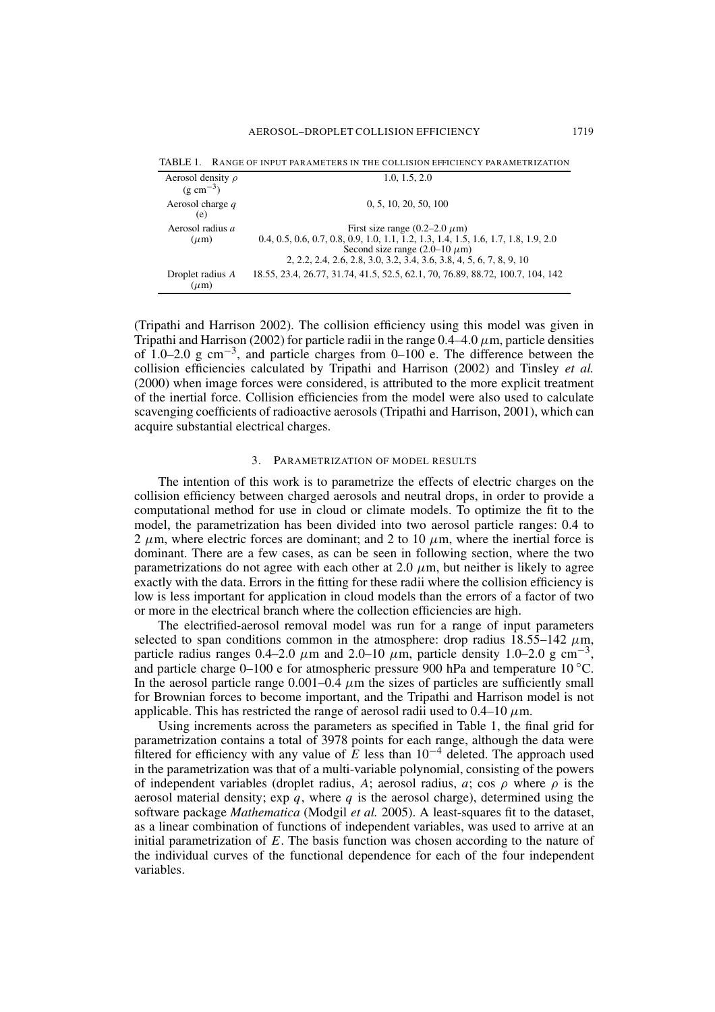| <u>KARU SE MEREKANI I KUTHA ILI SE</u>          |                                                                                                                             |
|-------------------------------------------------|-----------------------------------------------------------------------------------------------------------------------------|
| Aerosol density $\rho$<br>$(g \text{ cm}^{-3})$ | 1.0, 1.5, 2.0                                                                                                               |
| Aerosol charge $q$                              | 0, 5, 10, 20, 50, 100                                                                                                       |
| (e)                                             |                                                                                                                             |
| Aerosol radius a<br>$(\mu m)$                   | First size range $(0.2–2.0 \ \mu m)$<br>0.4, 0.5, 0.6, 0.7, 0.8, 0.9, 1.0, 1.1, 1.2, 1.3, 1.4, 1.5, 1.6, 1.7, 1.8, 1.9, 2.0 |
|                                                 | Second size range $(2.0-10 \ \mu m)$                                                                                        |
|                                                 | 2, 2, 2, 2, 4, 2, 6, 2, 8, 3, 0, 3, 2, 3, 4, 3, 6, 3, 8, 4, 5, 6, 7, 8, 9, 10                                               |
| Droplet radius A<br>$(\mu m)$                   | 18.55, 23.4, 26.77, 31.74, 41.5, 52.5, 62.1, 70, 76.89, 88.72, 100.7, 104, 142                                              |

TARI F 1 RANGE OF INPUT PARAMETERS IN THE COLLISION EFFICIENCY PARAMETRIZATION

(Tripathi and Harrison 2002). The collision efficiency using this model was given in Tripathi and Harrison (2002) for particle radii in the range  $0.4-4.0 \mu$ m, particle densities of 1.0–2.0 g cm<sup>-3</sup>, and particle charges from 0–100 e. The difference between the collision efficiencies calculated by Tripathi and Harrison (2002) and Tinsley et al. (2000) when image forces were considered, is attributed to the more explicit treatment of the inertial force. Collision efficiencies from the model were also used to calculate scavenging coefficients of radioactive aerosols (Tripathi and Harrison, 2001), which can acquire substantial electrical charges.

#### $\overline{3}$ PARAMETRIZATION OF MODEL RESULTS

The intention of this work is to parametrize the effects of electric charges on the collision efficiency between charged aerosols and neutral drops, in order to provide a computational method for use in cloud or climate models. To optimize the fit to the model, the parametrization has been divided into two aerosol particle ranges: 0.4 to 2  $\mu$ m, where electric forces are dominant; and 2 to 10  $\mu$ m, where the inertial force is dominant. There are a few cases, as can be seen in following section, where the two parametrizations do not agree with each other at 2.0  $\mu$ m, but neither is likely to agree exactly with the data. Errors in the fitting for these radii where the collision efficiency is low is less important for application in cloud models than the errors of a factor of two or more in the electrical branch where the collection efficiencies are high.

The electrified-aerosol removal model was run for a range of input parameters selected to span conditions common in the atmosphere: drop radius  $18.5\overline{5}$ -142  $\mu$ m, particle radius ranges 0.4–2.0  $\mu$ m and 2.0–10  $\mu$ m, particle density 1.0–2.0 g cm<sup>-3</sup>, and particle charge  $0-100$  e for atmospheric pressure 900 hPa and temperature 10 °C. In the aerosol particle range 0.001–0.4  $\mu$ m the sizes of particles are sufficiently small for Brownian forces to become important, and the Tripathi and Harrison model is not applicable. This has restricted the range of aerosol radii used to 0.4–10  $\mu$ m.

Using increments across the parameters as specified in Table 1, the final grid for parametrization contains a total of 3978 points for each range, although the data were filtered for efficiency with any value of  $E$  less than  $10^{-4}$  deleted. The approach used in the parametrization was that of a multi-variable polynomial, consisting of the powers of independent variables (droplet radius, A; aerosol radius, a; cos  $\rho$  where  $\rho$  is the aerosol material density;  $\exp q$ , where q is the aerosol charge), determined using the software package Mathematica (Modgil et al. 2005). A least-squares fit to the dataset, as a linear combination of functions of independent variables, was used to arrive at an initial parametrization of  $E$ . The basis function was chosen according to the nature of the individual curves of the functional dependence for each of the four independent variables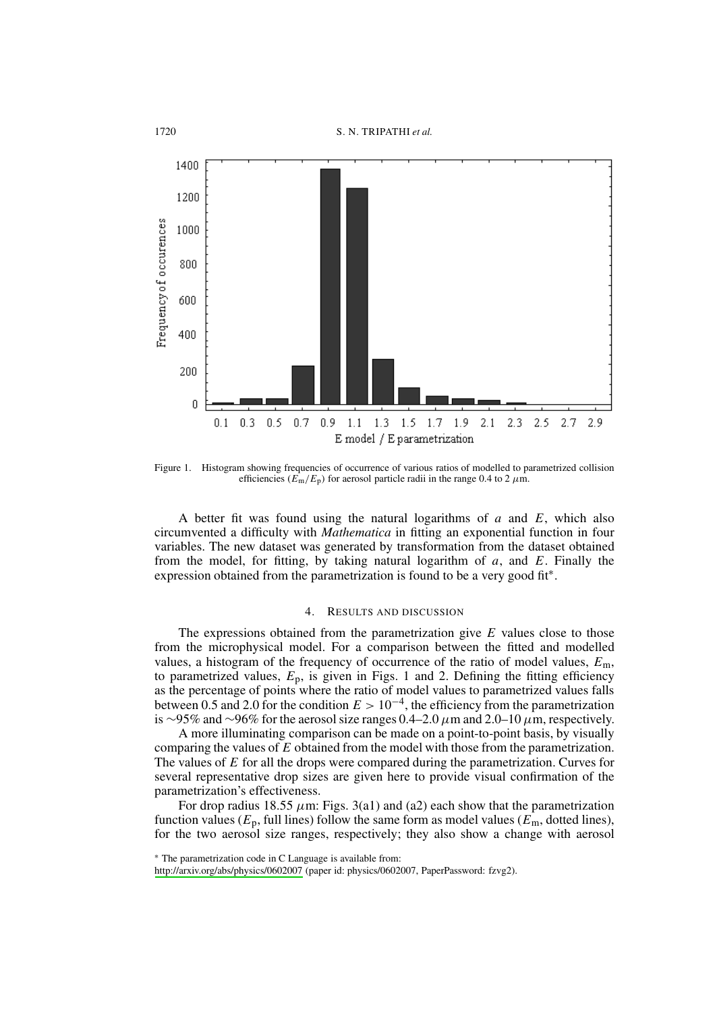

Figure 1. Histogram showing frequencies of occurrence of various ratios of modelled to parametrized collision efficiencies ( $E_m/E_p$ ) for aerosol particle radii in the range 0.4 to 2  $\mu$ m.

A better fit was found using the natural logarithms of  $a$  and  $E$ , which also circumvented a difficulty with *Mathematica* in fitting an exponential function in four variables. The new dataset was generated by transformation from the dataset obtained from the model, for fitting, by taking natural logarithm of  $a$ , and  $E$ . Finally the expression obtained from the parametrization is found to be a very good fit\*.

#### $\overline{4}$ **RESULTS AND DISCUSSION**

The expressions obtained from the parametrization give  $E$  values close to those from the microphysical model. For a comparison between the fitted and modelled values, a histogram of the frequency of occurrence of the ratio of model values,  $E_m$ , to parametrized values,  $E_p$ , is given in Figs. 1 and 2. Defining the fitting efficiency as the percentage of points where the ratio of model values to parametrized values falls between 0.5 and 2.0 for the condition  $E > 10^{-4}$ , the efficiency from the parametrization is ~95% and ~96% for the aerosol size ranges 0.4–2.0  $\mu$ m and 2.0–10  $\mu$ m, respectively.

A more illuminating comparison can be made on a point-to-point basis, by visually comparing the values of  $\overline{E}$  obtained from the model with those from the parametrization. The values of  $E$  for all the drops were compared during the parametrization. Curves for several representative drop sizes are given here to provide visual confirmation of the parametrization's effectiveness.

For drop radius 18.55  $\mu$ m: Figs. 3(a1) and (a2) each show that the parametrization function values ( $E_p$ , full lines) follow the same form as model values ( $E_m$ , dotted lines), for the two aerosol size ranges, respectively; they also show a change with aerosol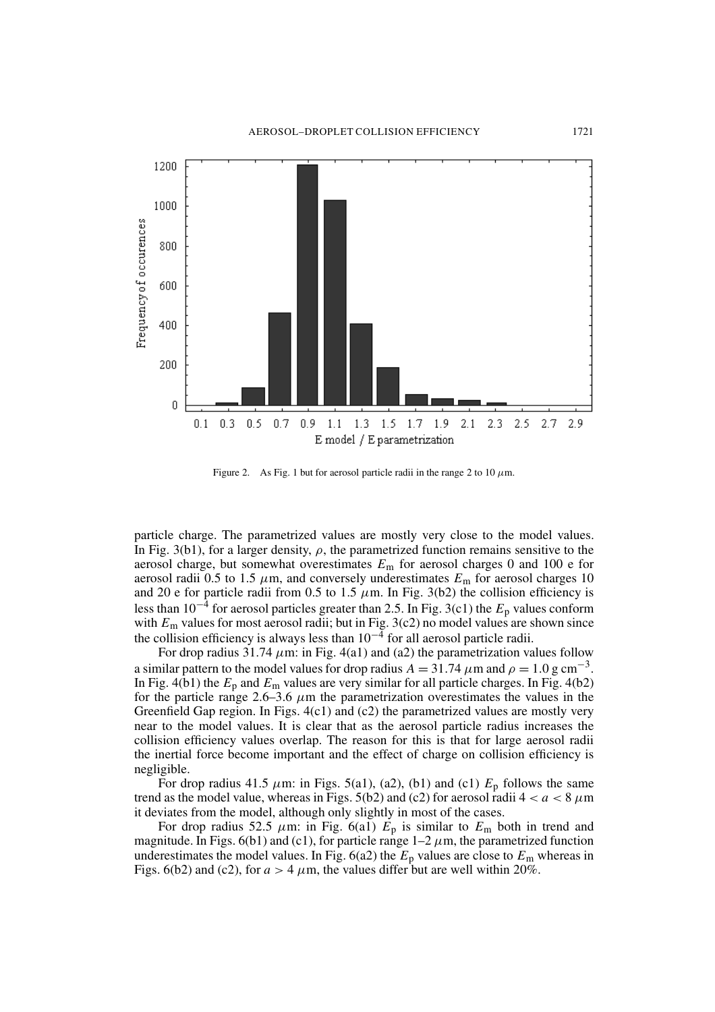

Figure 2. As Fig. 1 but for aerosol particle radii in the range 2 to 10  $\mu$ m.

particle charge. The parametrized values are mostly very close to the model values. In Fig. 3(b1), for a larger density,  $\rho$ , the parametrized function remains sensitive to the aerosol charge, but somewhat overestimates  $E_m$  for aerosol charges 0 and 100 e for aerosol radii 0.5 to 1.5  $\mu$ m, and conversely underestimates  $E_m$  for aerosol charges 10 and 20 e for particle radii from 0.5 to 1.5  $\mu$ m. In Fig. 3(b2) the collision efficiency is less than  $10^{-4}$  for aerosol particles greater than 2.5. In Fig. 3(c1) the  $E_p$  values conform with  $E_m$  values for most aerosol radii; but in Fig. 3(c2) no model values are shown since the collision efficiency is always less than  $10^{-4}$  for all aerosol particle radii.

For drop radius 31.74  $\mu$ m: in Fig. 4(a1) and (a2) the parametrization values follow a similar pattern to the model values for drop radius  $A = 31.74 \ \mu m$  and  $\rho = 1.0 \ \text{g cm}^{-3}$ . In Fig. 4(b1) the  $E_p$  and  $E_m$  values are very similar for all particle charges. In Fig. 4(b2) for the particle range 2.6–3.6  $\mu$ m the parametrization overestimates the values in the Greenfield Gap region. In Figs.  $4(c1)$  and  $(c2)$  the parametrized values are mostly very near to the model values. It is clear that as the aerosol particle radius increases the collision efficiency values overlap. The reason for this is that for large aerosol radii the inertial force become important and the effect of charge on collision efficiency is negligible.

For drop radius 41.5  $\mu$ m: in Figs. 5(a1), (a2), (b1) and (c1)  $E_p$  follows the same trend as the model value, whereas in Figs. 5(b2) and (c2) for aerosol radii  $4 < a < 8 \mu m$ it deviates from the model, although only slightly in most of the cases.

For drop radius 52.5  $\mu$ m: in Fig. 6(a1)  $E_p$  is similar to  $E_m$  both in trend and magnitude. In Figs. 6(b1) and (c1), for particle range  $1-2 \mu m$ , the parametrized function underestimates the model values. In Fig. 6(a2) the  $E_p$  values are close to  $E_m$  whereas in Figs. 6(b2) and (c2), for  $a > 4$   $\mu$ m, the values differ but are well within 20%.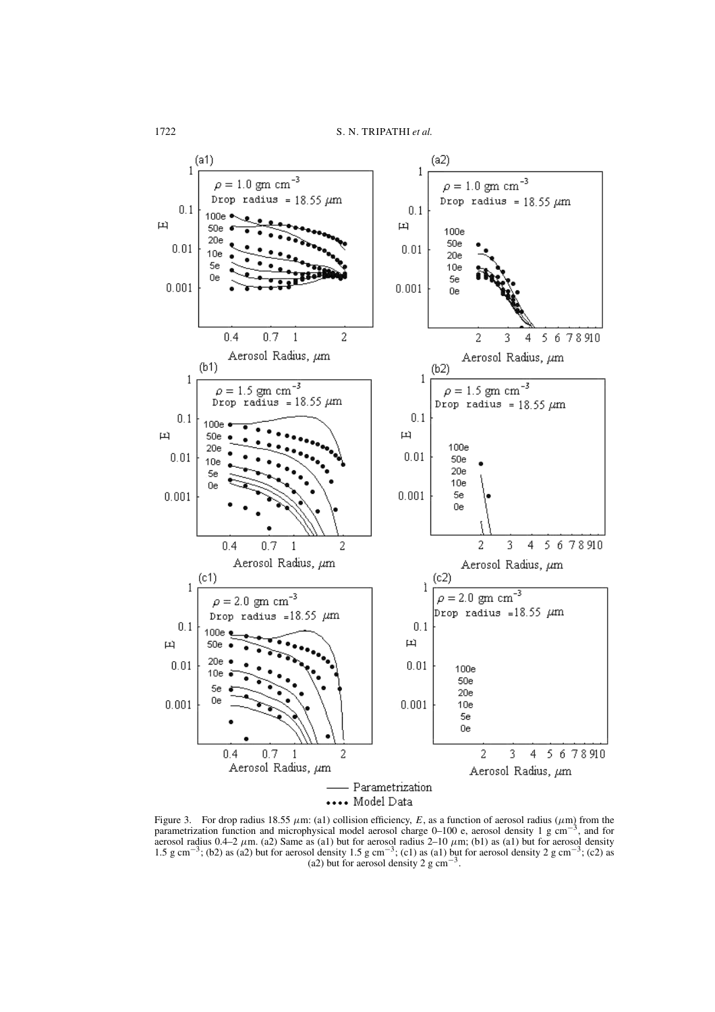

Figure 3. For drop radius 18.55  $\mu$ m: (a1) collision efficiency, E, as a function of aerosol radius ( $\mu$ m) from the parametrization function and microphysical model aerosol charge 0–100 e, aerosol density 1 g cm<sup>-3</sup>, and for aerosol radius 0.4–2  $\mu$ m. (a2) Same as (a1) but for aerosol radius 2–10  $\mu$ m; (b1) as (a1) but for aerosol density 1.5 g cm<sup>-3</sup>; (b2) as (a2) but for aerosol density 1.5 g cm<sup>-3</sup>; (c1) as (a1) but for aerosol density 2 g cm<sup>-3</sup>; (c2) as (a2) but for aerosol density 2 g  $\text{cm}^{-3}$ .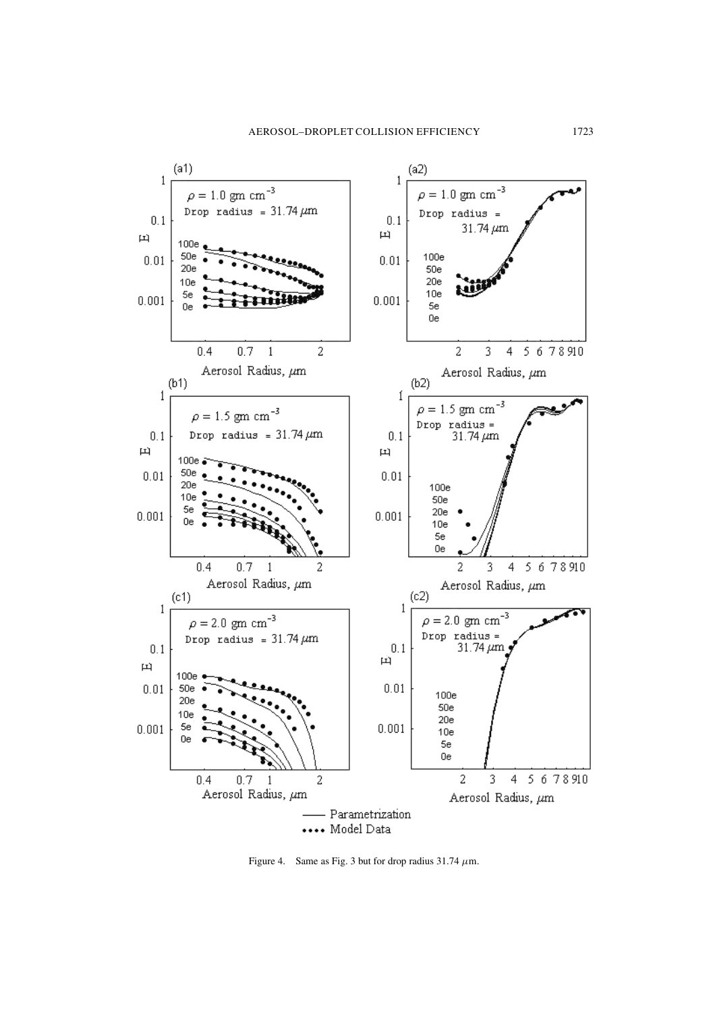

Figure 4. Same as Fig. 3 but for drop radius  $31.74 \mu$ m.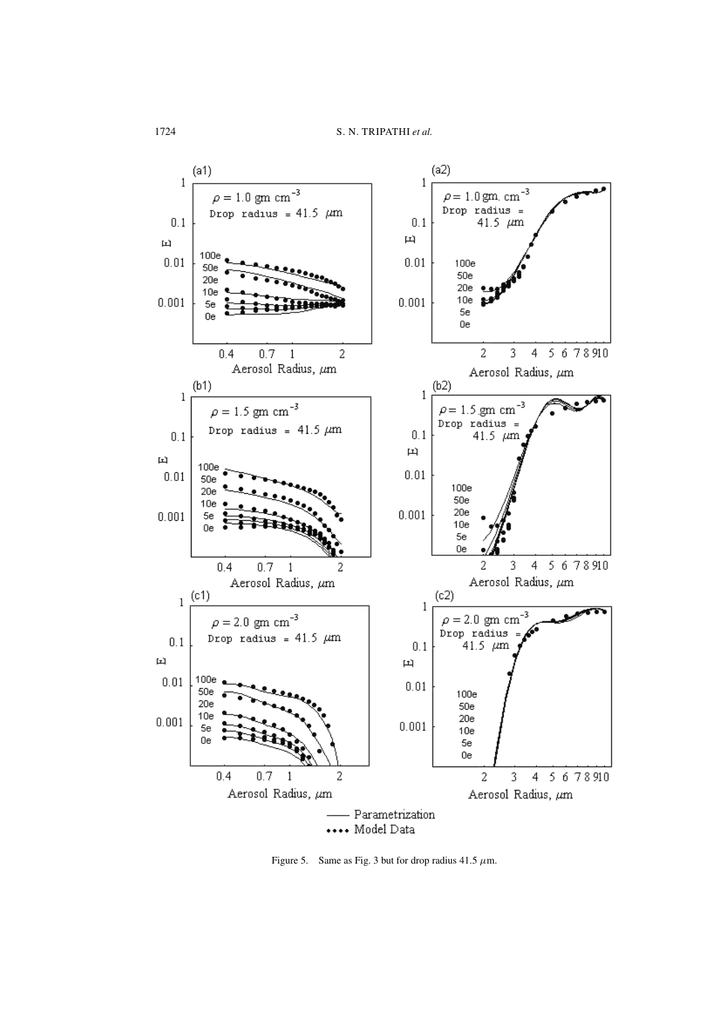

Figure 5. Same as Fig. 3 but for drop radius 41.5  $\mu$ m.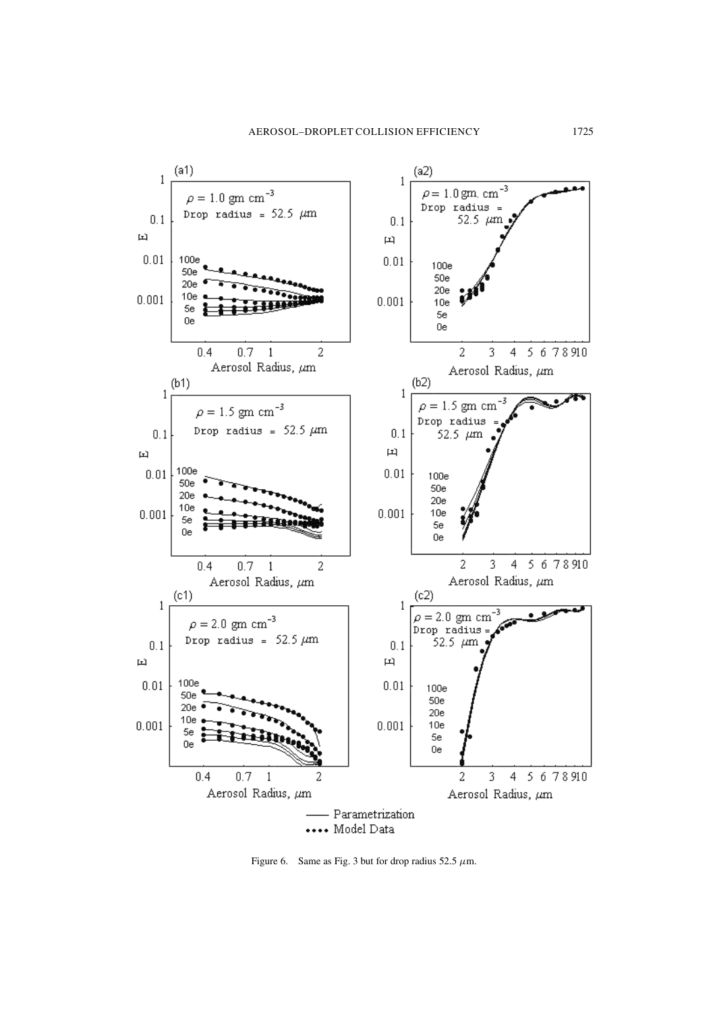

Figure 6. Same as Fig. 3 but for drop radius 52.5  $\mu$ m.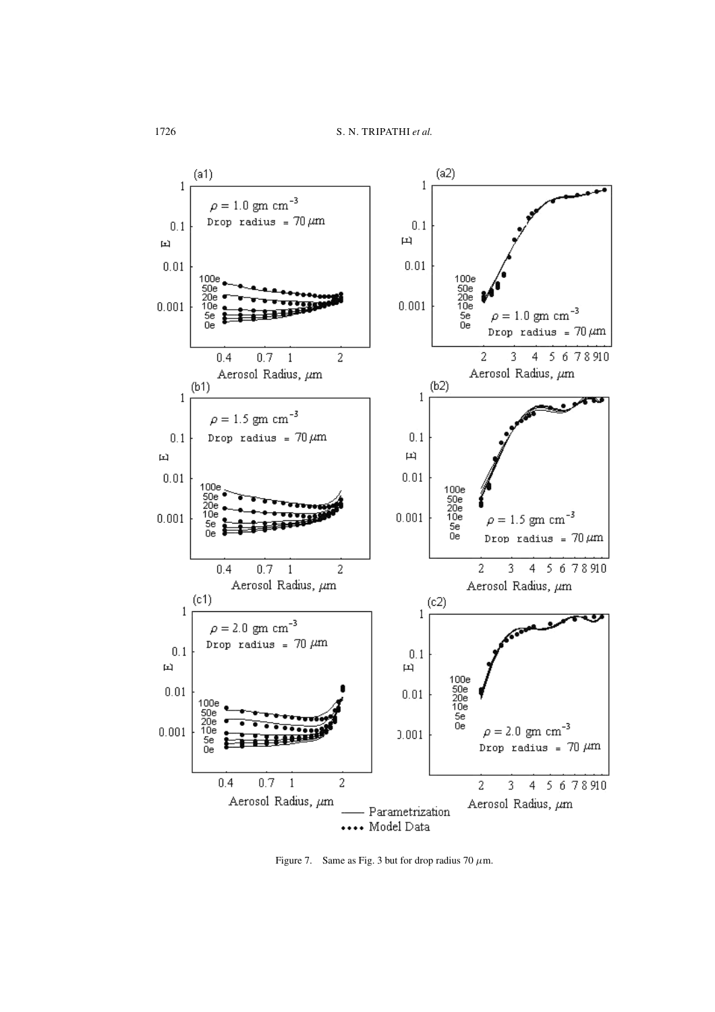

Figure 7. Same as Fig. 3 but for drop radius 70  $\mu$ m.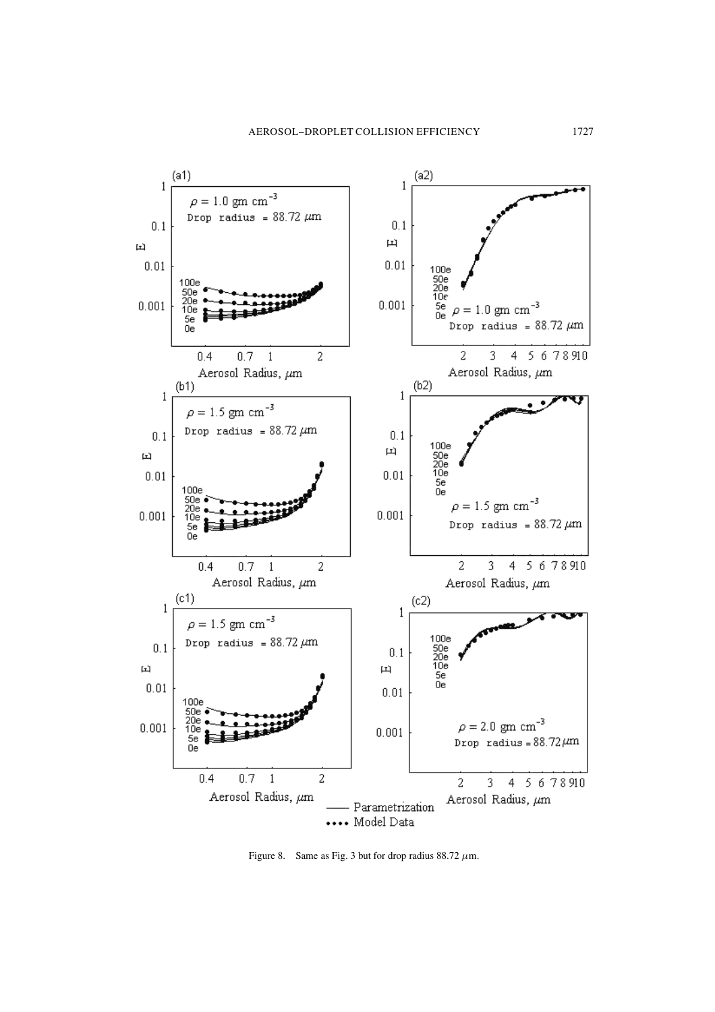

Figure 8. Same as Fig. 3 but for drop radius 88.72  $\mu$ m.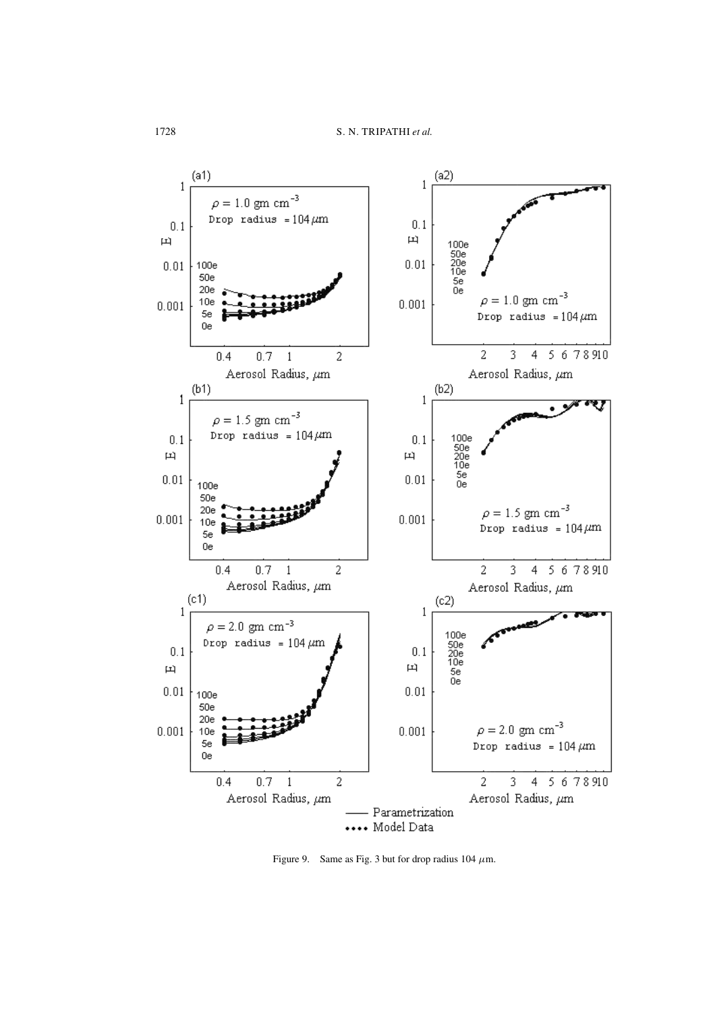

Figure 9. Same as Fig. 3 but for drop radius 104  $\mu$ m.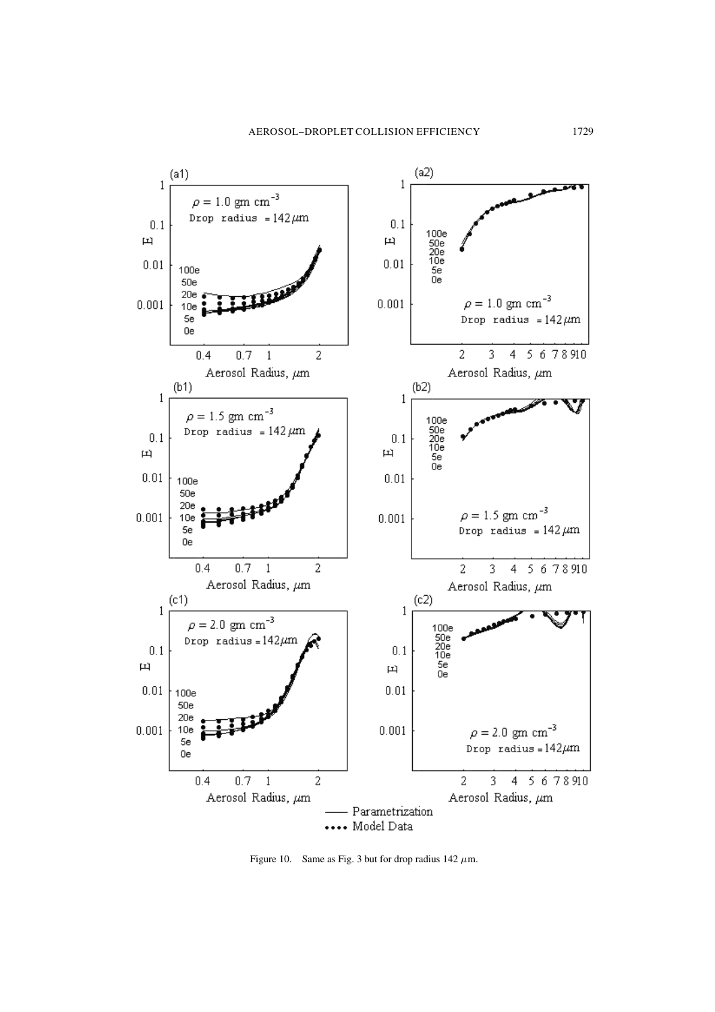

Figure 10. Same as Fig. 3 but for drop radius 142  $\mu$ m.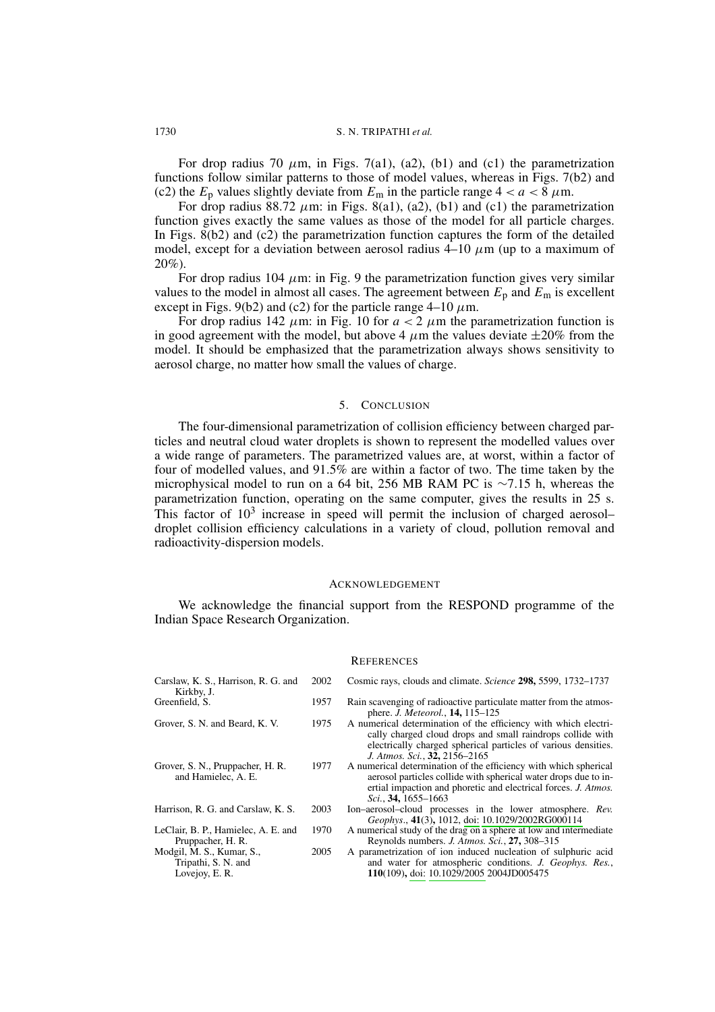For drop radius 70  $\mu$ m, in Figs. 7(a1), (a2), (b1) and (c1) the parametrization functions follow similar patterns to those of model values, whereas in Figs. 7(b2) and (c2) the  $E_p$  values slightly deviate from  $E_m$  in the particle range  $4 < a < \overline{8} \mu m$ .

For drop radius 88.72  $\mu$ m: in Figs. 8(a1), (a2), (b1) and (c1) the parametrization function gives exactly the same values as those of the model for all particle charges. In Figs.  $8(b2)$  and  $(c2)$  the parametrization function captures the form of the detailed model, except for a deviation between aerosol radius  $4-10 \mu m$  (up to a maximum of  $20\%$ ).

For drop radius 104  $\mu$ m: in Fig. 9 the parametrization function gives very similar values to the model in almost all cases. The agreement between  $E_p$  and  $E_m$  is excellent except in Figs. 9(b2) and (c2) for the particle range 4–10  $\mu$ m.

For drop radius 142  $\mu$ m: in Fig. 10 for  $a < 2$   $\mu$ m the parametrization function is in good agreement with the model, but above 4  $\mu$ m the values deviate  $\pm 20\%$  from the model. It should be emphasized that the parametrization always shows sensitivity to aerosol charge, no matter how small the values of charge.

### 5. CONCLUSION

The four-dimensional parametrization of collision efficiency between charged particles and neutral cloud water droplets is shown to represent the modelled values over a wide range of parameters. The parametrized values are, at worst, within a factor of four of modelled values, and 91.5% are within a factor of two. The time taken by the microphysical model to run on a 64 bit, 256 MB RAM PC is  $\sim$ 7.15 h, whereas the parametrization function, operating on the same computer, gives the results in 25 s. This factor of  $10<sup>3</sup>$  increase in speed will permit the inclusion of charged aerosoldroplet collision efficiency calculations in a variety of cloud, pollution removal and radioactivity-dispersion models.

### **ACKNOWLEDGEMENT**

We acknowledge the financial support from the RESPOND programme of the Indian Space Research Organization.

### **REFERENCES**

Carslaw, K. S., Harrison, R. G. and 2002 Cosmic rays, clouds and climate. Science 298, 5599, 1732-1737 Kirkby, J.

1975

- Greenfield, S. 1957
- Grover, S. N. and Beard, K. V.
- Grover, S. N., Pruppacher, H. R. 1977 and Hamielec, A. E.
- Harrison, R. G. and Carslaw, K. S. 2003
- LeClair, B. P., Hamielec, A. E. and 1970 Pruppacher, H. R.
- 2005 Modgil, M. S., Kumar, S., Tripathi, S. N. and Lovejoy, E.R.
- Rain scavenging of radioactive particulate matter from the atmos
	- phere. *J. Meteorol.*, **14,** 115–125 A numerical determination of the efficiency with which electrically charged cloud drops and small raindrops collide with electrically charged spherical particles of various densities. J. Atmos. Sci., 32, 2156-2165
	- A numerical determination of the efficiency with which spherical aerosol particles collide with spherical water drops due to inertial impaction and phoretic and electrical forces. J. Atmos. Sci., 34, 1655-1663
	- Ion-aerosol-cloud processes in the lower atmosphere. Rev. Geophys., 41(3), 1012, doi: 10.1029/2002RG000114
	- A numerical study of the drag on a sphere at low and intermediate Reynolds numbers. J. Atmos. Sci., 27, 308-315
- A parametrization of ion induced nucleation of sulphuric acid and water for atmospheric conditions. J. Geophys. Res., 110(109), doi: 10.1029/2005 2004JD005475